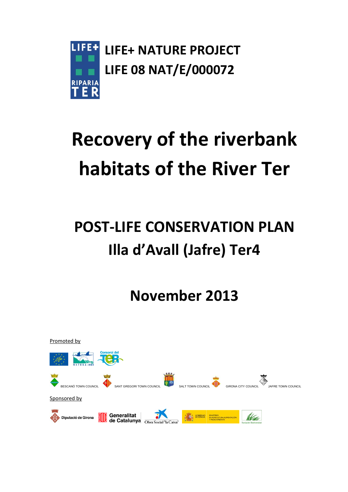

# **Recovery of the riverbank habitats of the River Ter**

## **POST-LIFE CONSERVATION PLAN Illa d'Avall (Jafre) Ter4**

**November 2013**

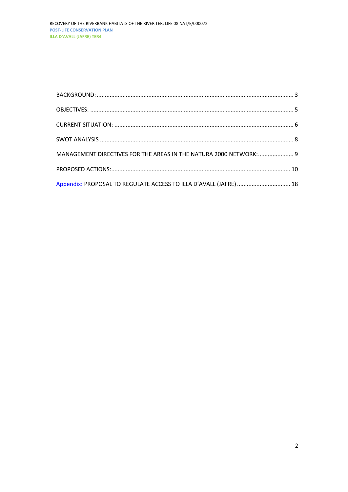| MANAGEMENT DIRECTIVES FOR THE AREAS IN THE NATURA 2000 NETWORK: 9 |  |
|-------------------------------------------------------------------|--|
|                                                                   |  |
|                                                                   |  |
| Appendix: PROPOSAL TO REGULATE ACCESS TO ILLA D'AVALL (JAFRE)  18 |  |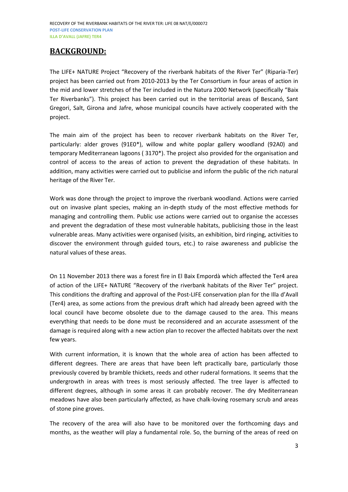## <span id="page-2-0"></span>**BACKGROUND:**

The LIFE+ NATURE Project "Recovery of the riverbank habitats of the River Ter" (Riparia-Ter) project has been carried out from 2010-2013 by the Ter Consortium in four areas of action in the mid and lower stretches of the Ter included in the Natura 2000 Network (specifically "Baix Ter Riverbanks"). This project has been carried out in the territorial areas of Bescanó, Sant Gregori, Salt, Girona and Jafre, whose municipal councils have actively cooperated with the project.

The main aim of the project has been to recover riverbank habitats on the River Ter, particularly: alder groves (91E0\*), willow and white poplar gallery woodland (92A0) and temporary Mediterranean lagoons ( 3170\*). The project also provided for the organisation and control of access to the areas of action to prevent the degradation of these habitats. In addition, many activities were carried out to publicise and inform the public of the rich natural heritage of the River Ter.

Work was done through the project to improve the riverbank woodland. Actions were carried out on invasive plant species, making an in-depth study of the most effective methods for managing and controlling them. Public use actions were carried out to organise the accesses and prevent the degradation of these most vulnerable habitats, publicising those in the least vulnerable areas. Many activities were organised (visits, an exhibition, bird ringing, activities to discover the environment through guided tours, etc.) to raise awareness and publicise the natural values of these areas.

On 11 November 2013 there was a forest fire in El Baix Empordà which affected the Ter4 area of action of the LIFE+ NATURE "Recovery of the riverbank habitats of the River Ter" project. This conditions the drafting and approval of the Post-LIFE conservation plan for the Illa d'Avall (Ter4) area, as some actions from the previous draft which had already been agreed with the local council have become obsolete due to the damage caused to the area. This means everything that needs to be done must be reconsidered and an accurate assessment of the damage is required along with a new action plan to recover the affected habitats over the next few years.

With current information, it is known that the whole area of action has been affected to different degrees. There are areas that have been left practically bare, particularly those previously covered by bramble thickets, reeds and other ruderal formations. It seems that the undergrowth in areas with trees is most seriously affected. The tree layer is affected to different degrees, although in some areas it can probably recover. The dry Mediterranean meadows have also been particularly affected, as have chalk-loving rosemary scrub and areas of stone pine groves.

The recovery of the area will also have to be monitored over the forthcoming days and months, as the weather will play a fundamental role. So, the burning of the areas of reed on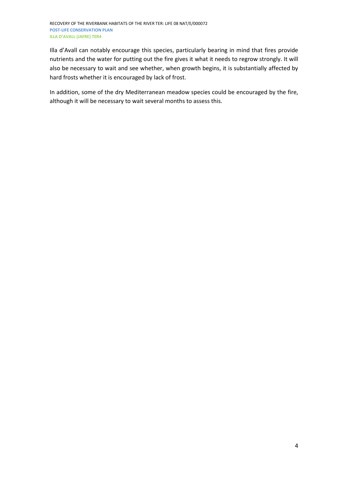Illa d'Avall can notably encourage this species, particularly bearing in mind that fires provide nutrients and the water for putting out the fire gives it what it needs to regrow strongly. It will also be necessary to wait and see whether, when growth begins, it is substantially affected by hard frosts whether it is encouraged by lack of frost.

In addition, some of the dry Mediterranean meadow species could be encouraged by the fire, although it will be necessary to wait several months to assess this.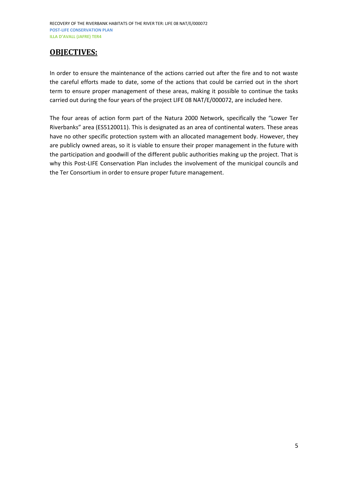## <span id="page-4-0"></span>**OBJECTIVES:**

In order to ensure the maintenance of the actions carried out after the fire and to not waste the careful efforts made to date, some of the actions that could be carried out in the short term to ensure proper management of these areas, making it possible to continue the tasks carried out during the four years of the project LIFE 08 NAT/E/000072, are included here.

The four areas of action form part of the Natura 2000 Network, specifically the "Lower Ter Riverbanks" area (ES5120011). This is designated as an area of continental waters. These areas have no other specific protection system with an allocated management body. However, they are publicly owned areas, so it is viable to ensure their proper management in the future with the participation and goodwill of the different public authorities making up the project. That is why this Post-LIFE Conservation Plan includes the involvement of the municipal councils and the Ter Consortium in order to ensure proper future management.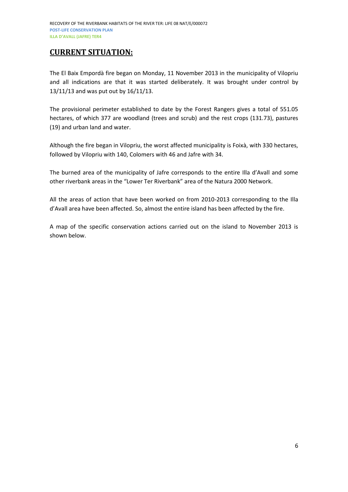## <span id="page-5-0"></span>**CURRENT SITUATION:**

The El Baix Empordà fire began on Monday, 11 November 2013 in the municipality of Vilopriu and all indications are that it was started deliberately. It was brought under control by 13/11/13 and was put out by 16/11/13.

The provisional perimeter established to date by the Forest Rangers gives a total of 551.05 hectares, of which 377 are woodland (trees and scrub) and the rest crops (131.73), pastures (19) and urban land and water.

Although the fire began in Vilopriu, the worst affected municipality is Foixà, with 330 hectares, followed by Vilopriu with 140, Colomers with 46 and Jafre with 34.

The burned area of the municipality of Jafre corresponds to the entire Illa d'Avall and some other riverbank areas in the "Lower Ter Riverbank" area of the Natura 2000 Network.

All the areas of action that have been worked on from 2010-2013 corresponding to the Illa d'Avall area have been affected. So, almost the entire island has been affected by the fire.

A map of the specific conservation actions carried out on the island to November 2013 is shown below.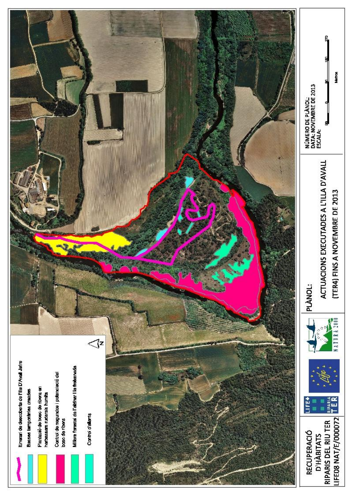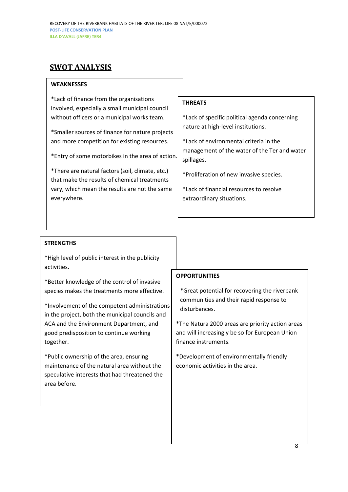## <span id="page-7-0"></span>**SWOT ANALYSIS**

## **WEAKNESSES**

\*Lack of finance from the organisations involved, especially a small municipal council without officers or a municipal works team.

\*Smaller sources of finance for nature projects and more competition for existing resources.

\*Entry of some motorbikes in the area of action.

\*There are natural factors (soil, climate, etc.) that make the results of chemical treatments vary, which mean the results are not the same everywhere.

## **THREATS**

\*Lack of specific political agenda concerning nature at high-level institutions.

\*Lack of environmental criteria in the management of the water of the Ter and water spillages.

\*Proliferation of new invasive species.

\*Lack of financial resources to resolve extraordinary situations.

## **STRENGTHS**

\*High level of public interest in the publicity activities.

\*Better knowledge of the control of invasive species makes the treatments more effective.

\*Involvement of the competent administrations in the project, both the municipal councils and ACA and the Environment Department, and good predisposition to continue working together.

\*Public ownership of the area, ensuring maintenance of the natural area without the speculative interests that had threatened the area before.

## **OPPORTUNITIES**

\*Great potential for recovering the riverbank communities and their rapid response to disturbances.

\*The Natura 2000 areas are priority action areas and will increasingly be so for European Union finance instruments.

\*Development of environmentally friendly economic activities in the area.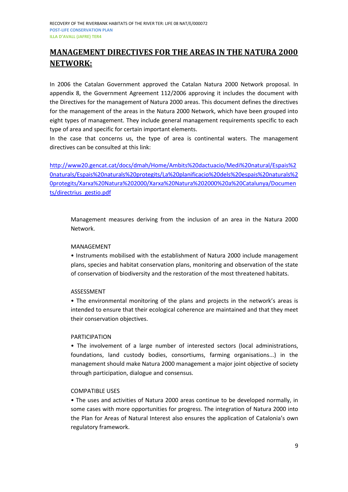## <span id="page-8-0"></span>**MANAGEMENT DIRECTIVES FOR THE AREAS IN THE NATURA 2000 NETWORK:**

In 2006 the Catalan Government approved the Catalan Natura 2000 Network proposal. In appendix 8, the Government Agreement 112/2006 approving it includes the document with the Directives for the management of Natura 2000 areas. This document defines the directives for the management of the areas in the Natura 2000 Network, which have been grouped into eight types of management. They include general management requirements specific to each type of area and specific for certain important elements.

In the case that concerns us, the type of area is continental waters. The management directives can be consulted at this link:

[http://www20.gencat.cat/docs/dmah/Home/Ambits%20dactuacio/Medi%20natural/Espais%2](http://www20.gencat.cat/docs/dmah/Home/Ambits%20dactuacio/Medi%20natural/Espais%20naturals/Espais%20naturals%20protegits/La%20planificacio%20dels%20espais%20naturals%20protegits/Xarxa%20Natura%202000/Xarxa%20Natura%202000%20a%20Catalunya/Documents/directrius_gestio.pdf) [0naturals/Espais%20naturals%20protegits/La%20planificacio%20dels%20espais%20naturals%2](http://www20.gencat.cat/docs/dmah/Home/Ambits%20dactuacio/Medi%20natural/Espais%20naturals/Espais%20naturals%20protegits/La%20planificacio%20dels%20espais%20naturals%20protegits/Xarxa%20Natura%202000/Xarxa%20Natura%202000%20a%20Catalunya/Documents/directrius_gestio.pdf) [0protegits/Xarxa%20Natura%202000/Xarxa%20Natura%202000%20a%20Catalunya/Documen](http://www20.gencat.cat/docs/dmah/Home/Ambits%20dactuacio/Medi%20natural/Espais%20naturals/Espais%20naturals%20protegits/La%20planificacio%20dels%20espais%20naturals%20protegits/Xarxa%20Natura%202000/Xarxa%20Natura%202000%20a%20Catalunya/Documents/directrius_gestio.pdf) [ts/directrius\\_gestio.pdf](http://www20.gencat.cat/docs/dmah/Home/Ambits%20dactuacio/Medi%20natural/Espais%20naturals/Espais%20naturals%20protegits/La%20planificacio%20dels%20espais%20naturals%20protegits/Xarxa%20Natura%202000/Xarxa%20Natura%202000%20a%20Catalunya/Documents/directrius_gestio.pdf)

Management measures deriving from the inclusion of an area in the Natura 2000 Network.

## MANAGEMENT

• Instruments mobilised with the establishment of Natura 2000 include management plans, species and habitat conservation plans, monitoring and observation of the state of conservation of biodiversity and the restoration of the most threatened habitats.

## ASSESSMENT

• The environmental monitoring of the plans and projects in the network's areas is intended to ensure that their ecological coherence are maintained and that they meet their conservation objectives.

## PARTICIPATION

• The involvement of a large number of interested sectors (local administrations, foundations, land custody bodies, consortiums, farming organisations...) in the management should make Natura 2000 management a major joint objective of society through participation, dialogue and consensus.

## COMPATIBLE USES

• The uses and activities of Natura 2000 areas continue to be developed normally, in some cases with more opportunities for progress. The integration of Natura 2000 into the Plan for Areas of Natural Interest also ensures the application of Catalonia's own regulatory framework.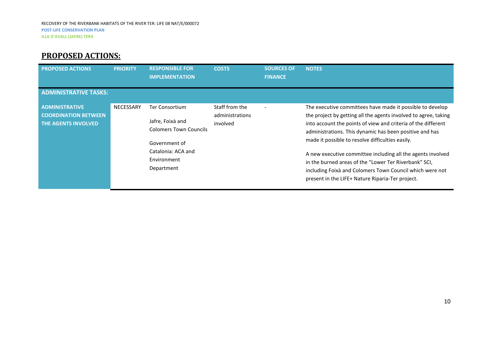## **PROPOSED ACTIONS:**

<span id="page-9-0"></span>

| <b>PROPOSED ACTIONS</b>                                                            | <b>PRIORITY</b>  | <b>RESPONSIBLE FOR</b><br><b>IMPLEMENTATION</b>                                                                                                | <b>COSTS</b>                                  | <b>SOURCES OF</b><br><b>FINANCE</b> | <b>NOTES</b>                                                                                                                                                                                                                                                                                                                                                                                                                                                                                                                                         |
|------------------------------------------------------------------------------------|------------------|------------------------------------------------------------------------------------------------------------------------------------------------|-----------------------------------------------|-------------------------------------|------------------------------------------------------------------------------------------------------------------------------------------------------------------------------------------------------------------------------------------------------------------------------------------------------------------------------------------------------------------------------------------------------------------------------------------------------------------------------------------------------------------------------------------------------|
| <b>ADMINISTRATIVE TASKS:</b>                                                       |                  |                                                                                                                                                |                                               |                                     |                                                                                                                                                                                                                                                                                                                                                                                                                                                                                                                                                      |
| <b>ADMINISTRATIVE</b><br><b>COORDINATION BETWEEN</b><br><b>THE AGENTS INVOLVED</b> | <b>NECESSARY</b> | <b>Ter Consortium</b><br>Jafre, Foixà and<br><b>Colomers Town Councils</b><br>Government of<br>Catalonia: ACA and<br>Environment<br>Department | Staff from the<br>administrations<br>involved | $\overline{\phantom{0}}$            | The executive committees have made it possible to develop<br>the project by getting all the agents involved to agree, taking<br>into account the points of view and criteria of the different<br>administrations. This dynamic has been positive and has<br>made it possible to resolve difficulties easily.<br>A new executive committee including all the agents involved<br>in the burned areas of the "Lower Ter Riverbank" SCI,<br>including Foixà and Colomers Town Council which were not<br>present in the LIFE+ Nature Riparia-Ter project. |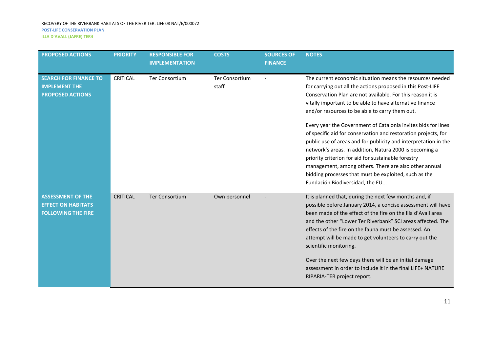| <b>PROPOSED ACTIONS</b>                                                            | <b>PRIORITY</b> | <b>RESPONSIBLE FOR</b><br><b>IMPLEMENTATION</b> | <b>COSTS</b>                   | <b>SOURCES OF</b><br><b>FINANCE</b> | <b>NOTES</b>                                                                                                                                                                                                                                                                                                                                                                                                                                                                                                                                                                                                                                                                                                                                                                      |
|------------------------------------------------------------------------------------|-----------------|-------------------------------------------------|--------------------------------|-------------------------------------|-----------------------------------------------------------------------------------------------------------------------------------------------------------------------------------------------------------------------------------------------------------------------------------------------------------------------------------------------------------------------------------------------------------------------------------------------------------------------------------------------------------------------------------------------------------------------------------------------------------------------------------------------------------------------------------------------------------------------------------------------------------------------------------|
| <b>SEARCH FOR FINANCE TO</b><br><b>IMPLEMENT THE</b><br><b>PROPOSED ACTIONS</b>    | <b>CRITICAL</b> | <b>Ter Consortium</b>                           | <b>Ter Consortium</b><br>staff |                                     | The current economic situation means the resources needed<br>for carrying out all the actions proposed in this Post-LIFE<br>Conservation Plan are not available. For this reason it is<br>vitally important to be able to have alternative finance<br>and/or resources to be able to carry them out.<br>Every year the Government of Catalonia invites bids for lines<br>of specific aid for conservation and restoration projects, for<br>public use of areas and for publicity and interpretation in the<br>network's areas. In addition, Natura 2000 is becoming a<br>priority criterion for aid for sustainable forestry<br>management, among others. There are also other annual<br>bidding processes that must be exploited, such as the<br>Fundación Biodiversidad, the EU |
| <b>ASSESSMENT OF THE</b><br><b>EFFECT ON HABITATS</b><br><b>FOLLOWING THE FIRE</b> | <b>CRITICAL</b> | <b>Ter Consortium</b>                           | Own personnel                  |                                     | It is planned that, during the next few months and, if<br>possible before January 2014, a concise assessment will have<br>been made of the effect of the fire on the Illa d'Avall area<br>and the other "Lower Ter Riverbank" SCI areas affected. The<br>effects of the fire on the fauna must be assessed. An<br>attempt will be made to get volunteers to carry out the<br>scientific monitoring.<br>Over the next few days there will be an initial damage<br>assessment in order to include it in the final LIFE+ NATURE<br>RIPARIA-TER project report.                                                                                                                                                                                                                       |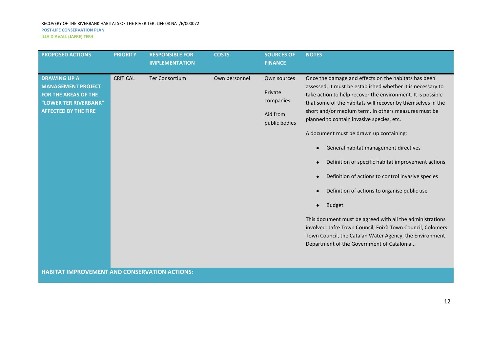| <b>PROPOSED ACTIONS</b>                              | <b>PRIORITY</b> | <b>RESPONSIBLE FOR</b><br><b>COSTS</b><br><b>IMPLEMENTATION</b> |               | <b>SOURCES OF</b><br><b>FINANCE</b> | <b>NOTES</b>                                                                                                                                                                       |
|------------------------------------------------------|-----------------|-----------------------------------------------------------------|---------------|-------------------------------------|------------------------------------------------------------------------------------------------------------------------------------------------------------------------------------|
|                                                      |                 |                                                                 |               |                                     |                                                                                                                                                                                    |
| <b>DRAWING UP A</b><br><b>MANAGEMENT PROJECT</b>     | <b>CRITICAL</b> | <b>Ter Consortium</b>                                           | Own personnel | Own sources<br>Private              | Once the damage and effects on the habitats has been<br>assessed, it must be established whether it is necessary to                                                                |
| <b>FOR THE AREAS OF THE</b><br>"LOWER TER RIVERBANK" |                 |                                                                 |               | companies                           | take action to help recover the environment. It is possible<br>that some of the habitats will recover by themselves in the                                                         |
| <b>AFFECTED BY THE FIRE</b>                          |                 |                                                                 |               | Aid from<br>public bodies           | short and/or medium term. In others measures must be<br>planned to contain invasive species, etc.                                                                                  |
|                                                      |                 |                                                                 |               |                                     | A document must be drawn up containing:                                                                                                                                            |
|                                                      |                 |                                                                 |               |                                     | General habitat management directives                                                                                                                                              |
|                                                      |                 |                                                                 |               |                                     | Definition of specific habitat improvement actions                                                                                                                                 |
|                                                      |                 |                                                                 |               |                                     | Definition of actions to control invasive species                                                                                                                                  |
|                                                      |                 |                                                                 |               |                                     | Definition of actions to organise public use                                                                                                                                       |
|                                                      |                 |                                                                 |               |                                     | <b>Budget</b>                                                                                                                                                                      |
|                                                      |                 |                                                                 |               |                                     | This document must be agreed with all the administrations<br>involved: Jafre Town Council, Foixà Town Council, Colomers<br>Town Council, the Catalan Water Agency, the Environment |

**HABITAT IMPROVEMENT AND CONSERVATION ACTIONS:**

Department of the Government of Catalonia...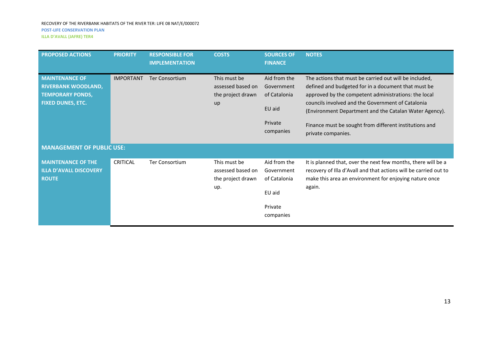| <b>PROPOSED ACTIONS</b>                                                                                    | <b>PRIORITY</b>  | <b>RESPONSIBLE FOR</b><br><b>IMPLEMENTATION</b> | <b>COSTS</b>                                                  | <b>SOURCES OF</b><br><b>FINANCE</b>                                          | <b>NOTES</b>                                                                                                                                                                                                                                                                                                                                                         |
|------------------------------------------------------------------------------------------------------------|------------------|-------------------------------------------------|---------------------------------------------------------------|------------------------------------------------------------------------------|----------------------------------------------------------------------------------------------------------------------------------------------------------------------------------------------------------------------------------------------------------------------------------------------------------------------------------------------------------------------|
| <b>MAINTENANCE OF</b><br><b>RIVERBANK WOODLAND,</b><br><b>TEMPORARY PONDS,</b><br><b>FIXED DUNES, ETC.</b> | <b>IMPORTANT</b> | <b>Ter Consortium</b>                           | This must be<br>assessed based on<br>the project drawn<br>up  | Aid from the<br>Government<br>of Catalonia<br>EU aid<br>Private<br>companies | The actions that must be carried out will be included,<br>defined and budgeted for in a document that must be<br>approved by the competent administrations: the local<br>councils involved and the Government of Catalonia<br>(Environment Department and the Catalan Water Agency).<br>Finance must be sought from different institutions and<br>private companies. |
| <b>MANAGEMENT OF PUBLIC USE:</b>                                                                           |                  |                                                 |                                                               |                                                                              |                                                                                                                                                                                                                                                                                                                                                                      |
| <b>MAINTENANCE OF THE</b><br><b>ILLA D'AVALL DISCOVERY</b><br><b>ROUTE</b>                                 | <b>CRITICAL</b>  | <b>Ter Consortium</b>                           | This must be<br>assessed based on<br>the project drawn<br>up. | Aid from the<br>Government<br>of Catalonia<br>EU aid<br>Private<br>companies | It is planned that, over the next few months, there will be a<br>recovery of Illa d'Avall and that actions will be carried out to<br>make this area an environment for enjoying nature once<br>again.                                                                                                                                                                |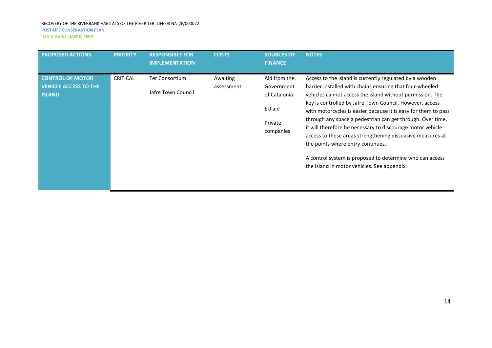| <b>PROPOSED ACTIONS</b>                                                  | <b>PRIORITY</b> | <b>RESPONSIBLE FOR</b><br><b>IMPLEMENTATION</b> | <b>COSTS</b>           | <b>SOURCES OF</b><br><b>FINANCE</b>                                          | <b>NOTES</b>                                                                                                                                                                                                                                                                                                                                                                                                                                                                                                                                                                                                                                             |
|--------------------------------------------------------------------------|-----------------|-------------------------------------------------|------------------------|------------------------------------------------------------------------------|----------------------------------------------------------------------------------------------------------------------------------------------------------------------------------------------------------------------------------------------------------------------------------------------------------------------------------------------------------------------------------------------------------------------------------------------------------------------------------------------------------------------------------------------------------------------------------------------------------------------------------------------------------|
| <b>CONTROL OF MOTOR</b><br><b>VEHICLE ACCESS TO THE</b><br><b>ISLAND</b> | <b>CRITICAL</b> | Ter Consortium<br>Jafre Town Council            | Awaiting<br>assessment | Aid from the<br>Government<br>of Catalonia<br>EU aid<br>Private<br>companies | Access to the island is currently regulated by a wooden<br>barrier installed with chains ensuring that four-wheeled<br>vehicles cannot access the island without permission. The<br>key is controlled by Jafre Town Council. However, access<br>with motorcycles is easier because it is easy for them to pass<br>through any space a pedestrian can get through. Over time,<br>it will therefore be necessary to discourage motor vehicle<br>access to these areas strengthening dissuasive measures at<br>the points where entry continues.<br>A control system is proposed to determine who can access<br>the island in motor vehicles. See appendix. |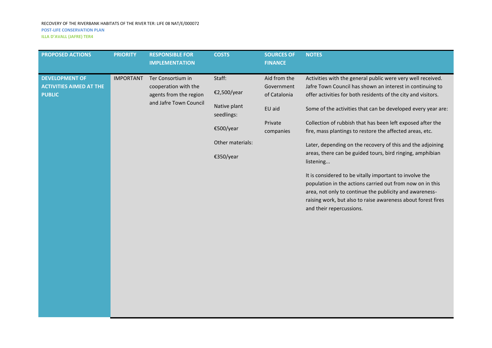| <b>PROPOSED ACTIONS</b>                                                                                                                                                                       | <b>PRIORITY</b>                                                                                   | <b>RESPONSIBLE FOR</b><br><b>IMPLEMENTATION</b>                              | <b>COSTS</b>                                                                                                                                                                                                                                                                                                                                                                                                                                                                                                   | <b>SOURCES OF</b><br><b>FINANCE</b> | <b>NOTES</b>                                                                                                                                                                                                                                                                             |
|-----------------------------------------------------------------------------------------------------------------------------------------------------------------------------------------------|---------------------------------------------------------------------------------------------------|------------------------------------------------------------------------------|----------------------------------------------------------------------------------------------------------------------------------------------------------------------------------------------------------------------------------------------------------------------------------------------------------------------------------------------------------------------------------------------------------------------------------------------------------------------------------------------------------------|-------------------------------------|------------------------------------------------------------------------------------------------------------------------------------------------------------------------------------------------------------------------------------------------------------------------------------------|
| <b>DEVELOPMENT OF</b><br><b>IMPORTANT</b><br>Ter Consortium in<br><b>ACTIVITIES AIMED AT THE</b><br>cooperation with the<br><b>PUBLIC</b><br>agents from the region<br>and Jafre Town Council | Staff:<br>€2,500/year<br>Native plant<br>seedlings:<br>€500/year<br>Other materials:<br>€350/year | Aid from the<br>Government<br>of Catalonia<br>EU aid<br>Private<br>companies | Activities with the general public were very well received.<br>Jafre Town Council has shown an interest in continuing to<br>offer activities for both residents of the city and visitors.<br>Some of the activities that can be developed every year are:<br>Collection of rubbish that has been left exposed after the<br>fire, mass plantings to restore the affected areas, etc.<br>Later, depending on the recovery of this and the adjoining<br>areas, there can be guided tours, bird ringing, amphibian |                                     |                                                                                                                                                                                                                                                                                          |
|                                                                                                                                                                                               |                                                                                                   |                                                                              |                                                                                                                                                                                                                                                                                                                                                                                                                                                                                                                |                                     | listening<br>It is considered to be vitally important to involve the<br>population in the actions carried out from now on in this<br>area, not only to continue the publicity and awareness-<br>raising work, but also to raise awareness about forest fires<br>and their repercussions. |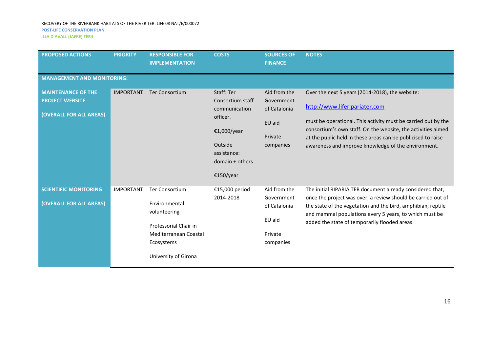#### RECOVERY OF THE RIVERBANK HABITATS OF THE RIVER TER: LIFE 08 NAT/E/000072 **POST-LIFE CONSERVATION PLAN**

**ILLA D'AVALL (JAFRE) TER4**

| <b>PROPOSED ACTIONS</b>                                                        | <b>PRIORITY</b>  | <b>RESPONSIBLE FOR</b><br><b>IMPLEMENTATION</b>                                                                                                | <b>COSTS</b>                                                                                                                         | <b>SOURCES OF</b><br><b>FINANCE</b>                                          | <b>NOTES</b>                                                                                                                                                                                                                                                                                                                             |  |  |  |
|--------------------------------------------------------------------------------|------------------|------------------------------------------------------------------------------------------------------------------------------------------------|--------------------------------------------------------------------------------------------------------------------------------------|------------------------------------------------------------------------------|------------------------------------------------------------------------------------------------------------------------------------------------------------------------------------------------------------------------------------------------------------------------------------------------------------------------------------------|--|--|--|
| <b>MANAGEMENT AND MONITORING:</b>                                              |                  |                                                                                                                                                |                                                                                                                                      |                                                                              |                                                                                                                                                                                                                                                                                                                                          |  |  |  |
| <b>MAINTENANCE OF THE</b><br><b>PROJECT WEBSITE</b><br>(OVERALL FOR ALL AREAS) | <b>IMPORTANT</b> | Ter Consortium                                                                                                                                 | Staff: Ter<br>Consortium staff<br>communication<br>officer.<br>€1,000/year<br>Outside<br>assistance:<br>domain + others<br>€150/year | Aid from the<br>Government<br>of Catalonia<br>EU aid<br>Private<br>companies | Over the next 5 years (2014-2018), the website:<br>http://www.liferipariater.com<br>must be operational. This activity must be carried out by the<br>consortium's own staff. On the website, the activities aimed<br>at the public held in these areas can be publicised to raise<br>awareness and improve knowledge of the environment. |  |  |  |
| <b>SCIENTIFIC MONITORING</b><br>(OVERALL FOR ALL AREAS)                        | <b>IMPORTANT</b> | <b>Ter Consortium</b><br>Environmental<br>volunteering<br>Professorial Chair in<br>Mediterranean Coastal<br>Ecosystems<br>University of Girona | €15,000 period<br>2014-2018                                                                                                          | Aid from the<br>Government<br>of Catalonia<br>EU aid<br>Private<br>companies | The initial RIPARIA TER document already considered that,<br>once the project was over, a review should be carried out of<br>the state of the vegetation and the bird, amphibian, reptile<br>and mammal populations every 5 years, to which must be<br>added the state of temporarily flooded areas.                                     |  |  |  |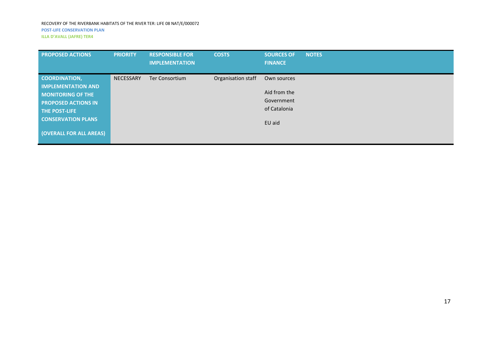| <b>PROPOSED ACTIONS</b>                                                                                                                                                                     | <b>PRIORITY</b>  | <b>RESPONSIBLE FOR</b><br><b>IMPLEMENTATION</b> | <b>COSTS</b>       | <b>SOURCES OF</b><br><b>FINANCE</b>                                 | <b>NOTES</b> |
|---------------------------------------------------------------------------------------------------------------------------------------------------------------------------------------------|------------------|-------------------------------------------------|--------------------|---------------------------------------------------------------------|--------------|
| <b>COORDINATION,</b><br><b>IMPLEMENTATION AND</b><br><b>MONITORING OF THE</b><br><b>PROPOSED ACTIONS IN</b><br><b>THE POST-LIFE</b><br><b>CONSERVATION PLANS</b><br>(OVERALL FOR ALL AREAS) | <b>NECESSARY</b> | <b>Ter Consortium</b>                           | Organisation staff | Own sources<br>Aid from the<br>Government<br>of Catalonia<br>EU aid |              |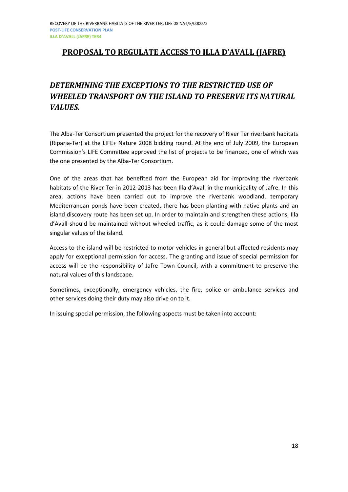## <span id="page-17-0"></span>**PROPOSAL TO REGULATE ACCESS TO ILLA D'AVALL (JAFRE)**

## *DETERMINING THE EXCEPTIONS TO THE RESTRICTED USE OF WHEELED TRANSPORT ON THE ISLAND TO PRESERVE ITS NATURAL VALUES.*

The Alba-Ter Consortium presented the project for the recovery of River Ter riverbank habitats (Riparia-Ter) at the LIFE+ Nature 2008 bidding round. At the end of July 2009, the European Commission's LIFE Committee approved the list of projects to be financed, one of which was the one presented by the Alba-Ter Consortium.

One of the areas that has benefited from the European aid for improving the riverbank habitats of the River Ter in 2012-2013 has been Illa d'Avall in the municipality of Jafre. In this area, actions have been carried out to improve the riverbank woodland, temporary Mediterranean ponds have been created, there has been planting with native plants and an island discovery route has been set up. In order to maintain and strengthen these actions, Illa d'Avall should be maintained without wheeled traffic, as it could damage some of the most singular values of the island.

Access to the island will be restricted to motor vehicles in general but affected residents may apply for exceptional permission for access. The granting and issue of special permission for access will be the responsibility of Jafre Town Council, with a commitment to preserve the natural values of this landscape.

Sometimes, exceptionally, emergency vehicles, the fire, police or ambulance services and other services doing their duty may also drive on to it.

In issuing special permission, the following aspects must be taken into account: